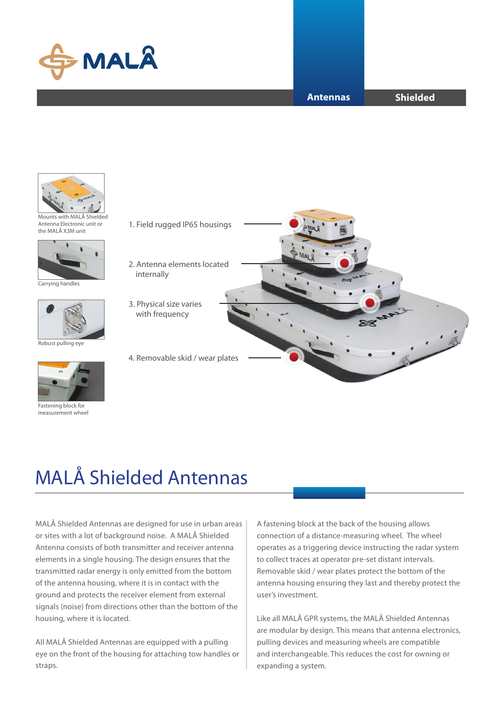

#### **Antennas**

**Shielded**



Mounts with MALÅ Shielded Antenna Electronic unit or the MALÅ X3M unit



Carrying handles



Robust pulling eye



Fastening block for measurement wheel



# MALÅ Shielded Antennas

MALÅ Shielded Antennas are designed for use in urban areas or sites with a lot of background noise. A MALÅ Shielded Antenna consists of both transmitter and receiver antenna elements in a single housing. The design ensures that the transmitted radar energy is only emitted from the bottom of the antenna housing, where it is in contact with the ground and protects the receiver element from external signals (noise) from directions other than the bottom of the housing, where it is located.

All MALÅ Shielded Antennas are equipped with a pulling eye on the front of the housing for attaching tow handles or straps.

A fastening block at the back of the housing allows connection of a distance-measuring wheel. The wheel operates as a triggering device instructing the radar system to collect traces at operator pre-set distant intervals. Removable skid / wear plates protect the bottom of the antenna housing ensuring they last and thereby protect the user's investment.

Like all MALÅ GPR systems, the MALÅ Shielded Antennas are modular by design. This means that antenna electronics, pulling devices and measuring wheels are compatible and interchangeable. This reduces the cost for owning or expanding a system.